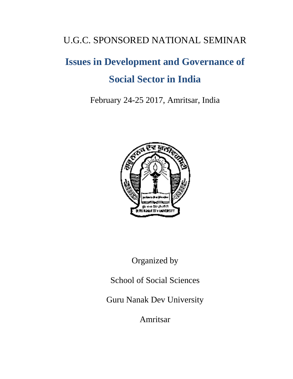## U.G.C. SPONSORED NATIONAL SEMINAR

# **Issues in Development and Governance of Social Sector in India**

February 24-25 2017, Amritsar, India



Organized by

School of Social Sciences

Guru Nanak Dev University

Amritsar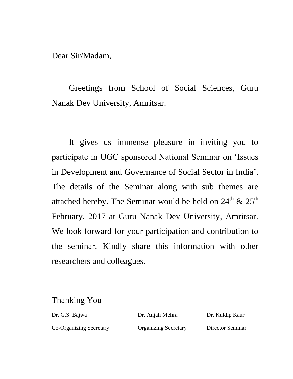Dear Sir/Madam,

Greetings from School of Social Sciences, Guru Nanak Dev University, Amritsar.

It gives us immense pleasure in inviting you to participate in UGC sponsored National Seminar on 'Issues in Development and Governance of Social Sector in India'. The details of the Seminar along with sub themes are attached hereby. The Seminar would be held on  $24<sup>th</sup>$  &  $25<sup>th</sup>$ February, 2017 at Guru Nanak Dev University, Amritsar. We look forward for your participation and contribution to the seminar. Kindly share this information with other researchers and colleagues.

### Thanking You

Dr. G.S. Bajwa Dr. Anjali Mehra Dr. Kuldip Kaur Co-Organizing Secretary Organizing Secretary Director Seminar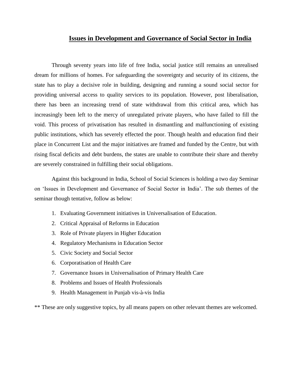#### **Issues in Development and Governance of Social Sector in India**

Through seventy years into life of free India, social justice still remains an unrealised dream for millions of homes. For safeguarding the sovereignty and security of its citizens, the state has to play a decisive role in building, designing and running a sound social sector for providing universal access to quality services to its population. However, post liberalisation, there has been an increasing trend of state withdrawal from this critical area, which has increasingly been left to the mercy of unregulated private players, who have failed to fill the void. This process of privatisation has resulted in dismantling and malfunctioning of existing public institutions, which has severely effected the poor. Though health and education find their place in Concurrent List and the major initiatives are framed and funded by the Centre, but with rising fiscal deficits and debt burdens, the states are unable to contribute their share and thereby are severely constrained in fulfilling their social obligations.

Against this background in India, School of Social Sciences is holding a two day Seminar on 'Issues in Development and Governance of Social Sector in India'. The sub themes of the seminar though tentative, follow as below:

- 1. Evaluating Government initiatives in Universalisation of Education.
- 2. Critical Appraisal of Reforms in Education
- 3. Role of Private players in Higher Education
- 4. Regulatory Mechanisms in Education Sector
- 5. Civic Society and Social Sector
- 6. Corporatisation of Health Care
- 7. Governance Issues in Universalisation of Primary Health Care
- 8. Problems and Issues of Health Professionals
- 9. Health Management in Punjab vis-à-vis India

\*\* These are only suggestive topics, by all means papers on other relevant themes are welcomed.